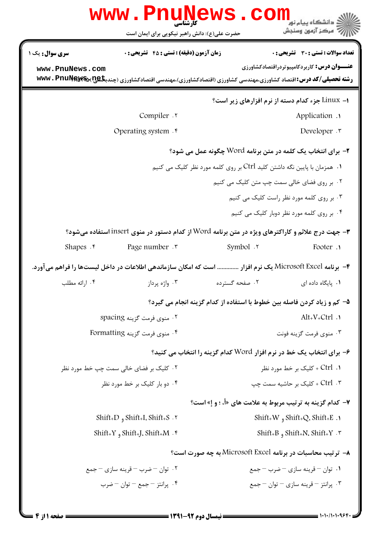|                                                                                                   | www.PnuNews.com<br>حضرت علی(ع): دانش راهبر نیکویی برای ایمان است                                                                                                                 |                                                                          | ڈ دانشگاہ پیام نو <b>ر</b><br>رآ - مرڪز آزمون وسنڊش                                                |  |
|---------------------------------------------------------------------------------------------------|----------------------------------------------------------------------------------------------------------------------------------------------------------------------------------|--------------------------------------------------------------------------|----------------------------------------------------------------------------------------------------|--|
| <b>سری سوال :</b> یک ۱<br>www.PnuNews.com                                                         | <b>زمان آزمون (دقیقه) : تستی : 45 قشریحی : 0</b><br><b>رشته تحصیلی/کد درس:</b> اقتصاد کشاورزی،مهندسی کشاورزی (اقتصادکشاورزی)،مهندسی اقتصادکشاورزی (چندب <b>گیج!\@wwv . PnuNe</b> |                                                                          | <b>تعداد سوالات : تستی : 30 ٪ تشریحی : 0</b><br><b>عنـــوان درس:</b> کاربردکامپیوتردراقتصادکشاورزی |  |
|                                                                                                   |                                                                                                                                                                                  |                                                                          | ۱– Linux جزء کدام دسته از نرم افزارهای زیر است؟                                                    |  |
|                                                                                                   | Compiler .                                                                                                                                                                       |                                                                          | Application .                                                                                      |  |
|                                                                                                   | Operating system . r                                                                                                                                                             |                                                                          | Developer .                                                                                        |  |
| <b>۲</b> - برای انتخاب یک کلمه در متن برنامه Word چگونه عمل می شود؟                               |                                                                                                                                                                                  |                                                                          |                                                                                                    |  |
| ۰۱ همزمان با پایین نگه داشتن کلید Ctrl بر روی کلمه مورد نظر کلیک می کنیم                          |                                                                                                                                                                                  |                                                                          |                                                                                                    |  |
|                                                                                                   |                                                                                                                                                                                  |                                                                          | ۰۲ بر روی فضای خالی سمت چپ متن کلیک می کنیم                                                        |  |
|                                                                                                   | ۰۳ بر روی کلمه مورد نظر راست کلیک می کنیم                                                                                                                                        |                                                                          |                                                                                                    |  |
|                                                                                                   |                                                                                                                                                                                  |                                                                          | ۰۴ بر روی کلمه مورد نظر دوبار کلیک می کنیم                                                         |  |
| ۳- جهت درج علائم و کاراکترهای ویژه در متن برنامه Word از کدام دستور در منوی insert استفاده میشود؟ |                                                                                                                                                                                  |                                                                          |                                                                                                    |  |
| Shapes $\cdot$                                                                                    | Page number . ٣                                                                                                                                                                  | symbol .٢                                                                | Footer .                                                                                           |  |
|                                                                                                   | ۴–  برنامه Microsoft Excel یک نرم افزار  است که امکان سازماندهی اطلاعات در داخل لیستها را فراهم می آورد.                                                                         |                                                                          |                                                                                                    |  |
| ۰۴ ارائه مطلب                                                                                     | ۰۳ واژه پرداز                                                                                                                                                                    | ۰۲ صفحه گسترده                                                           | ۰۱ پایگاه داده ای                                                                                  |  |
|                                                                                                   |                                                                                                                                                                                  | ۵– کم و زیاد کردن فاصله بین خطوط با استفاده از کدام گزینه انجام می گیرد؟ |                                                                                                    |  |
|                                                                                                   | ۰۲ منوی فرمت گزینه spacing                                                                                                                                                       | $Alt_{+}V_{+}Ctrl$ .                                                     |                                                                                                    |  |
|                                                                                                   | ۴. منوى فرمت گزينه Formatting                                                                                                                                                    | ۰۳ منوی فرمت گزینه فونت                                                  |                                                                                                    |  |
|                                                                                                   |                                                                                                                                                                                  | ۶- برای انتخاب یک خط در نرم افزار Word کدام گزینه را انتخاب می کنید؟     |                                                                                                    |  |
|                                                                                                   | ۰۲ کلیک بر فضای خالی سمت چپ خط مورد نظر                                                                                                                                          | ۰۱. Ctrl + کلیک بر خط مورد نظر                                           |                                                                                                    |  |
| ۰۴ دو بار کلیک بر خط مورد نظر                                                                     |                                                                                                                                                                                  | ۰۳ . Ctrl + کلیک بر حاشیه سمت چپ                                         |                                                                                                    |  |
|                                                                                                   |                                                                                                                                                                                  | ۷- کدام گزینه به ترتیب مربوط به علامت های «أ، ؛ و إ» است؟                |                                                                                                    |  |
|                                                                                                   | Shift+D, Shift+I, Shift+S. ۲                                                                                                                                                     | Shift+W, Shift+Q. Shift+E.                                               |                                                                                                    |  |
| Shift+Y, Shift+M . ۴                                                                              |                                                                                                                                                                                  | Shift+B, Shift+N. Shift+Y . $\mathbf{v}$                                 |                                                                                                    |  |
|                                                                                                   |                                                                                                                                                                                  | ٨- ترتيب محاسبات در برنامه Microsoft Excel به چه صورت است؟               |                                                                                                    |  |
|                                                                                                   | ۰۲ توان – ضرب – قرینه سازی – جمع                                                                                                                                                 | ۰۱ توان – قرینه سازی – ضرب – جمع                                         |                                                                                                    |  |
|                                                                                                   | ۰۴ پرانتز – جمع – توان – ضرب                                                                                                                                                     |                                                                          | ۰۳ پرانتز – قرینه سازی – توان – جمع                                                                |  |
|                                                                                                   |                                                                                                                                                                                  |                                                                          |                                                                                                    |  |

1111111969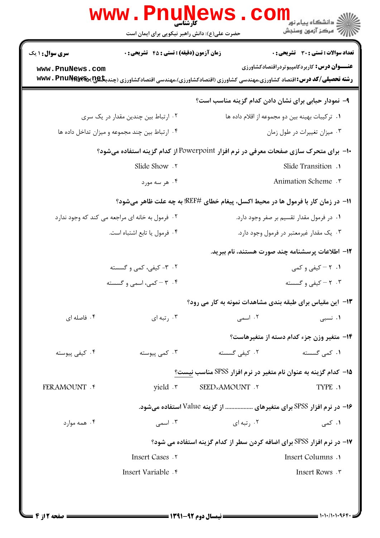| د دانشگاه پيام نو <mark>ر</mark><br>چ=مرکز آزمون وسنجش                  |                        | WWW.FII<br>کارشناسی<br>حضرت علی(ع): دانش راهبر نیکویی برای ایمان است                                                          |                        |
|-------------------------------------------------------------------------|------------------------|-------------------------------------------------------------------------------------------------------------------------------|------------------------|
| تعداد سوالات : تستي : 30 ٪ تشريحي : 0                                   |                        | <b>زمان آزمون (دقیقه) : تستی : 45 تشریحی : 0</b>                                                                              | <b>سری سوال : ۱ یک</b> |
| <b>عنـــوان درس:</b> کاربردکامپیوتردراقتصادکشاورزی                      |                        | <b>رشته تحصیلی/کد درس: ا</b> قتصاد کشاورزی،مهندسی کشاورزی (اقتصادکشاورزی)،مهندسی اقتصادکشاورزی (چندب <b>گیج!)%wwv . PnuNe</b> | www.PnuNews.com        |
| ۹- نمودار حبابی برای نشان دادن کدام گزینه مناسب است؟                    |                        |                                                                                                                               |                        |
| ٠١ تركيبات بهينه بين دو مجموعه از اقلام داده ها                         |                        | ۰۲ ارتباط بین چندین مقدار در یک سری                                                                                           |                        |
| ۰۳ میزان تغییرات در طول زمان                                            |                        | ۰۴ ارتباط بین چند مجموعه و میزان تداخل داده ها                                                                                |                        |
|                                                                         |                        | +ا– برای متحرک سازی صفحات معرفی در نرم افزار Powerpoint از کدام گزینه استفاده میشود؟                                          |                        |
| Slide Transition .                                                      |                        | Slide Show . ٢                                                                                                                |                        |
|                                                                         | Animation Scheme .     |                                                                                                                               |                        |
|                                                                         |                        | 11− در زمان کار با فرمول ها در محیط اکسل، پیغام خطای #REF! به چه علت ظاهر میشود؟                                              |                        |
| ۰۱ در فرمول مقدار تقسیم بر صفر وجود دارد.                               |                        | ۰۲ فرمول به خانه ای مراجعه می کند که وجود ندارد                                                                               |                        |
| ۰۳ یک مقدار غیرمعتبر در فرمول وجود دارد.                                |                        | ۰۴ فرمول یا تابع اشتباه است.                                                                                                  |                        |
| 1۲– اطلاعات پرسشنامه چند صورت هستند، نام ببرید.                         |                        |                                                                                                                               |                        |
| ۰۱. ۲ - کیفی و کمی                                                      |                        | ۲. ۳- کیفی، کمی و گسسته                                                                                                       |                        |
| ۰۳ - کیفی و گسسته                                                       |                        | ۰۴ - کمی، اسمی و گسسته                                                                                                        |                        |
| ۱۳- این مقیاس برای طبقه بندی مشاهدات نمونه به کار می رود؟               |                        |                                                                                                                               |                        |
| ۰۱ نسبی                                                                 | ۰۲ اسمی                | ۰۳ رتبه ای                                                                                                                    | ۰۴ فاصله ای            |
| ۱۴- متغیر وزن جزء کدام دسته از متغیرهاست؟                               |                        |                                                                                                                               |                        |
| ۰۱ کمی گسسته                                                            | ۰۲ کیفی گسسته          | ۰۳ کمی پیوسته                                                                                                                 | ۰۴ کیفی پیوسته         |
| <b>۱۵</b> – کدام گزینه به عنوان نام متغیر در نرم افزار SPSS مناسب نیست؟ |                        |                                                                                                                               |                        |
| TYPE .1                                                                 | <b>SEEDxAMOUNT . ٢</b> | yield \r                                                                                                                      | <b>FERAMOUNT . ۴</b>   |
| ۱۶- در نرم افزار SPSS برای متغیرهای  از گزینه Value استفاده میشود.      |                        |                                                                                                                               |                        |
| ۰۱ کمی                                                                  | ۰۲ , تبه ای            | ۰۳ اسمی                                                                                                                       | ۰۴ همه موارد           |
| ۱۷- در نرم افزار SPSS برای اضافه کردن سطر از کدام گزینه استفاده می شود؟ |                        |                                                                                                                               |                        |
| Insert Columns .                                                        |                        | Insert Cases . ٢                                                                                                              |                        |
| Insert Rows . ٣                                                         |                        | Insert Variable . r                                                                                                           |                        |
|                                                                         |                        |                                                                                                                               |                        |
|                                                                         |                        |                                                                                                                               |                        |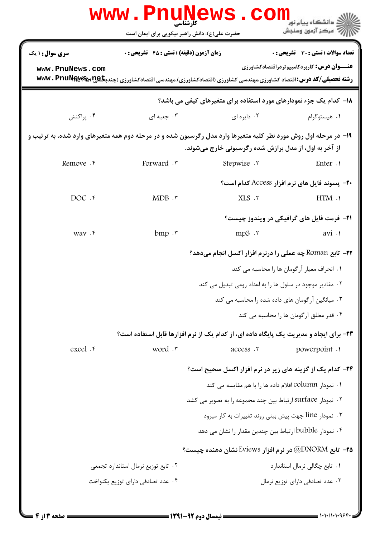|                                                                                                                                                                           | WWW . PHUNE<br>حضرت علی(ع): دانش راهبر نیکویی برای ایمان است                                                                 | 7S .           | ≤ دانشگاه پيام نو <mark>ر</mark><br>7' مرڪز آزمون وسنڊش                   |  |
|---------------------------------------------------------------------------------------------------------------------------------------------------------------------------|------------------------------------------------------------------------------------------------------------------------------|----------------|---------------------------------------------------------------------------|--|
| <b>سری سوال :</b> ۱ یک                                                                                                                                                    | <b>زمان آزمون (دقیقه) : تستی : 45 تشریحی : 0</b>                                                                             |                | تعداد سوالات : تستى : 30 ٪ تشريحي : 0                                     |  |
| www.PnuNews.com                                                                                                                                                           | <b>رشته تحصیلی/کد درس:</b> اقتصاد کشاورزی،مهندسی کشاورزی (اقتصادکشاورزی)،مهندسی اقتصادکشاورزی (چندب <b>گیج!\@wwv . PnuNe</b> |                | <b>عنـــوان درس:</b> کاربردکامپیوتردراقتصادکشاورزی                        |  |
|                                                                                                                                                                           |                                                                                                                              |                | <b>۱۸- کدام یک جزء نمودارهای مورد استفاده برای متغیرهای کیفی می باشد؟</b> |  |
| ۰۴ پراکنش                                                                                                                                                                 | ۰۳ جعبه ای                                                                                                                   | ۰۲ دایره ای    | ۰۱ هیستوگرام                                                              |  |
| ۱۹- در مرحله اول روش مورد نظر کلیه متغیرها وارد مدل رگرسیون شده و در مرحله دوم همه متغیرهای وارد شده، به ترتیب و<br>از آخر به اول، از مدل برازش شده رگرسیونی خارج میشوند. |                                                                                                                              |                |                                                                           |  |
| Remove . e                                                                                                                                                                | Forward .r                                                                                                                   | Stepwise .     | Enter .                                                                   |  |
|                                                                                                                                                                           |                                                                                                                              |                | <b>۲۰</b> - يسوند فايل هاي نرم افزار Access كدام است؟                     |  |
| $DOC$ . $f$                                                                                                                                                               | MDB.                                                                                                                         | $XLS$ . $\tau$ | HTM .                                                                     |  |
|                                                                                                                                                                           |                                                                                                                              |                | <b>۲۱</b> - فرمت فایل های گرافیکی در ویندوز چیست؟                         |  |
| way . r                                                                                                                                                                   | $bmp \cdot$ .                                                                                                                | mp3.7          | avi .                                                                     |  |
|                                                                                                                                                                           |                                                                                                                              |                | <b>۲۲-</b> تابع Roman چه عملی را درنرم افزار اکسل انجام میدهد؟            |  |
|                                                                                                                                                                           | ۰۱ انحراف معیار آرگومان ها را محاسبه می کند<br>۰۲ مقادیر موجود در سلول ها را به اعداد رومی تبدیل می کند                      |                |                                                                           |  |
|                                                                                                                                                                           |                                                                                                                              |                |                                                                           |  |
|                                                                                                                                                                           |                                                                                                                              |                | ۰۳ میانگین آرگومان های داده شده را محاسبه می کند                          |  |
|                                                                                                                                                                           |                                                                                                                              |                | ۰۴ قدر مطلق آرگومان ها را محاسبه می کند                                   |  |
|                                                                                                                                                                           | ۲۳- برای ایجاد و مدیریت یک پایگاه داده ای، از کدام یک از نرم افزارها قابل استفاده است؟                                       |                |                                                                           |  |
| excel . r                                                                                                                                                                 | word .r                                                                                                                      | access .r      | powerpoint .                                                              |  |
|                                                                                                                                                                           |                                                                                                                              |                | ۲۴- کدام یک از گزینه های زیر در نرم افزار اکسل صحیح است؟                  |  |
|                                                                                                                                                                           |                                                                                                                              |                | ۰۱ نمودار column اقلام داده ها را با هم مقایسه می کند                     |  |
|                                                                                                                                                                           |                                                                                                                              |                | ۰۲ نمودار surface ارتباط بین چند مجموعه را به تصویر می کشد                |  |
|                                                                                                                                                                           |                                                                                                                              |                | ۰۳ نمودار line جهت پیش بینی روند تغییرات به کار میرود                     |  |
|                                                                                                                                                                           |                                                                                                                              |                | ۰۴ نمودار bubble ارتباط بین چندین مقدار را نشان می دهد                    |  |
|                                                                                                                                                                           |                                                                                                                              |                | <b>۲۵</b> - تابع DNORM@ در نرم افزار Eviews نشان دهنده چیست؟              |  |
|                                                                                                                                                                           | ۰۲ تابع توزیع نرمال استاندارد تجمعی                                                                                          |                | ٠١ تابع چگالی نرمال استاندارد                                             |  |
|                                                                                                                                                                           | ۰۴ عدد تصادفي داراي توزيع يكنواخت                                                                                            |                | ۰۳ عدد تصادفی دارای توزیع نرمال                                           |  |
|                                                                                                                                                                           |                                                                                                                              |                |                                                                           |  |